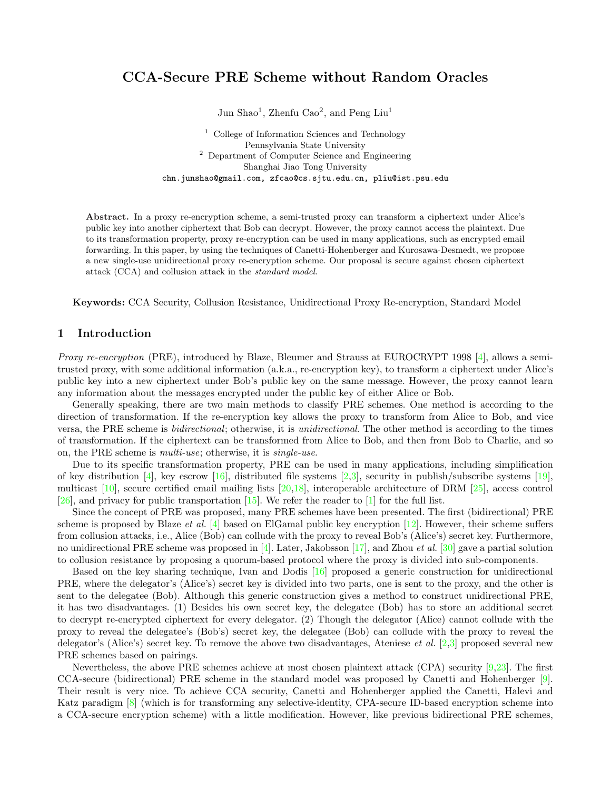# CCA-Secure PRE Scheme without Random Oracles

Jun Shao<sup>1</sup>, Zhenfu Cao<sup>2</sup>, and Peng Liu<sup>1</sup>

<sup>1</sup> College of Information Sciences and Technology Pennsylvania State University <sup>2</sup> Department of Computer Science and Engineering Shanghai Jiao Tong University chn.junshao@gmail.com, zfcao@cs.sjtu.edu.cn, pliu@ist.psu.edu

Abstract. In a proxy re-encryption scheme, a semi-trusted proxy can transform a ciphertext under Alice's public key into another ciphertext that Bob can decrypt. However, the proxy cannot access the plaintext. Due to its transformation property, proxy re-encryption can be used in many applications, such as encrypted email forwarding. In this paper, by using the techniques of Canetti-Hohenberger and Kurosawa-Desmedt, we propose a new single-use unidirectional proxy re-encryption scheme. Our proposal is secure against chosen ciphertext attack (CCA) and collusion attack in the standard model.

Keywords: CCA Security, Collusion Resistance, Unidirectional Proxy Re-encryption, Standard Model

## 1 Introduction

Proxy re-encryption (PRE), introduced by Blaze, Bleumer and Strauss at EUROCRYPT 1998 [4], allows a semitrusted proxy, with some additional information (a.k.a., re-encryption key), to transform a ciphertext under Alice's public key into a new ciphertext under Bob's public key on the same message. However, the proxy cannot learn any information about the messages encrypted under the public key of either Alice or Bob.

Generally speaking, there are two main methods to classify PRE schemes. One method is according to the direction of transformation. If the re-encryption key allows the proxy to transform from Alice to Bob, and vice versa, the PRE scheme is bidirectional; otherwise, it is unidirectional. The other method is according to the times of transformation. If the ciphertext can be transformed from Alice to Bob, and then from Bob to Charlie, and so on, the PRE scheme is multi-use; otherwise, it is single-use.

Due to its specific transformation property, PRE can be used in many applications, including simplification of key distribution [4], key escrow [16], distributed file systems [2,3], security in publish/subscribe systems [19], multicast [10], secure certified email mailing lists [20,18], interoperable architecture of DRM [25], access control [26], and privacy for public transportation [15]. We refer the reader to [1] for the full list.

Since the concept of PRE was proposed, many PRE schemes have been presented. The first (bidirectional) PRE scheme is proposed by Blaze *et al.* [4] based on ElGamal public key encryption [12]. However, their scheme suffers from collusion attacks, i.e., Alice (Bob) can collude with the proxy to reveal Bob's (Alice's) secret key. Furthermore, no unidirectional PRE scheme was proposed in [4]. Later, Jakobsson [17], and Zhou *et al.* [30] gave a partial solution to collusion resistance by proposing a quorum-based protocol where the proxy is divided into sub-components.

Based on the key sharing technique, Ivan and Dodis [16] proposed a generic construction for unidirectional PRE, where the delegator's (Alice's) secret key is divided into two parts, one is sent to the proxy, and the other is sent to the delegatee (Bob). Although this generic construction gives a method to construct unidirectional PRE, it has two disadvantages. (1) Besides his own secret key, the delegatee (Bob) has to store an additional secret to decrypt re-encrypted ciphertext for every delegator. (2) Though the delegator (Alice) cannot collude with the proxy to reveal the delegatee's (Bob's) secret key, the delegatee (Bob) can collude with the proxy to reveal the delegator's (Alice's) secret key. To remove the above two disadvantages, Ateniese *et al.* [2,3] proposed several new PRE schemes based on pairings.

Nevertheless, the above PRE schemes achieve at most chosen plaintext attack (CPA) security [9,23]. The first CCA-secure (bidirectional) PRE scheme in the standard model was proposed by Canetti and Hohenberger [9]. Their result is very nice. To achieve CCA security, Canetti and Hohenberger applied the Canetti, Halevi and Katz paradigm [8] (which is for transforming any selective-identity, CPA-secure ID-based encryption scheme into a CCA-secure encryption scheme) with a little modification. However, like previous bidirectional PRE schemes,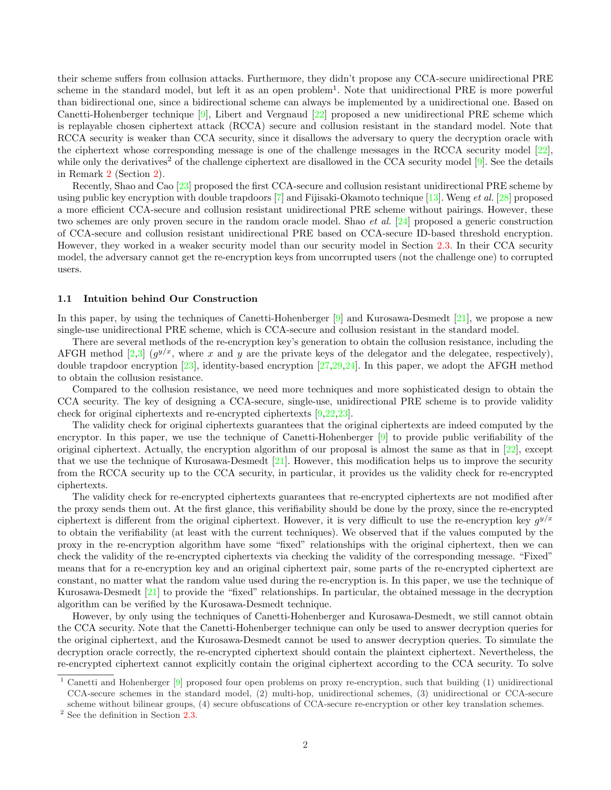their scheme suffers from collusion attacks. Furthermore, they didn't propose any CCA-secure unidirectional PRE scheme in the standard model, but left it as an open problem<sup>1</sup>. Note that unidirectional PRE is more powerful than bidirectional one, since a bidirectional scheme can always be implemented by a unidirectional one. Based on Canetti-Hohenberger technique [9], Libert and Vergnaud [22] proposed a new unidirectional PRE scheme which is replayable chosen ciphertext attack (RCCA) secure and collusion resistant in the standard model. Note that RCCA security is weaker than CCA security, since it disallows the adversary to query the decryption oracle with the ciphertext whose corresponding message is one of the challenge messages in the RCCA security model [22], while only the derivatives<sup>2</sup> of the challenge ciphertext are disallowed in the CCA security model  $[9]$ . See the details in Remark 2 (Section 2).

Recently, Shao and Cao [23] proposed the first CCA-secure and collusion resistant unidirectional PRE scheme by using public key encryption with double trapdoors [7] and Fijisaki-Okamoto technique [13]. Weng et al. [28] proposed a more efficient CCA-secure and collusion resistant unidirectional PRE scheme without pairings. However, these two schemes are only proven secure in the random oracle model. Shao *et al.* [24] proposed a generic construction of CCA-secure and collusion resistant unidirectional PRE based on CCA-secure ID-based threshold encryption. However, they worked in a weaker security model than our security model in Section 2.3. In their CCA security model, the adversary cannot get the re-encryption keys from uncorrupted users (not the challenge one) to corrupted users.

#### 1.1 Intuition behind Our Construction

In this paper, by using the techniques of Canetti-Hohenberger [9] and Kurosawa-Desmedt [21], we propose a new single-use unidirectional PRE scheme, which is CCA-secure and collusion resistant in the standard model.

There are several methods of the re-encryption key's generation to obtain the collusion resistance, including the AFGH method [2,3]  $(g^{y/x},$  where x and y are the private keys of the delegator and the delegatee, respectively), double trapdoor encryption [23], identity-based encryption [27,29,24]. In this paper, we adopt the AFGH method to obtain the collusion resistance.

Compared to the collusion resistance, we need more techniques and more sophisticated design to obtain the CCA security. The key of designing a CCA-secure, single-use, unidirectional PRE scheme is to provide validity check for original ciphertexts and re-encrypted ciphertexts [9,22,23].

The validity check for original ciphertexts guarantees that the original ciphertexts are indeed computed by the encryptor. In this paper, we use the technique of Canetti-Hohenberger  $[9]$  to provide public verifiability of the original ciphertext. Actually, the encryption algorithm of our proposal is almost the same as that in [22], except that we use the technique of Kurosawa-Desmedt [21]. However, this modification helps us to improve the security from the RCCA security up to the CCA security, in particular, it provides us the validity check for re-encrypted ciphertexts.

The validity check for re-encrypted ciphertexts guarantees that re-encrypted ciphertexts are not modified after the proxy sends them out. At the first glance, this verifiability should be done by the proxy, since the re-encrypted ciphertext is different from the original ciphertext. However, it is very difficult to use the re-encryption key  $g^{y/x}$ to obtain the verifiability (at least with the current techniques). We observed that if the values computed by the proxy in the re-encryption algorithm have some "fixed" relationships with the original ciphertext, then we can check the validity of the re-encrypted ciphertexts via checking the validity of the corresponding message. "Fixed" means that for a re-encryption key and an original ciphertext pair, some parts of the re-encrypted ciphertext are constant, no matter what the random value used during the re-encryption is. In this paper, we use the technique of Kurosawa-Desmedt [21] to provide the "fixed" relationships. In particular, the obtained message in the decryption algorithm can be verified by the Kurosawa-Desmedt technique.

However, by only using the techniques of Canetti-Hohenberger and Kurosawa-Desmedt, we still cannot obtain the CCA security. Note that the Canetti-Hohenberger technique can only be used to answer decryption queries for the original ciphertext, and the Kurosawa-Desmedt cannot be used to answer decryption queries. To simulate the decryption oracle correctly, the re-encrypted ciphertext should contain the plaintext ciphertext. Nevertheless, the re-encrypted ciphertext cannot explicitly contain the original ciphertext according to the CCA security. To solve

<sup>&</sup>lt;sup>1</sup> Canetti and Hohenberger  $[9]$  proposed four open problems on proxy re-encryption, such that building (1) unidirectional CCA-secure schemes in the standard model, (2) multi-hop, unidirectional schemes, (3) unidirectional or CCA-secure scheme without bilinear groups, (4) secure obfuscations of CCA-secure re-encryption or other key translation schemes.

 $^{\rm 2}$  See the definition in Section 2.3.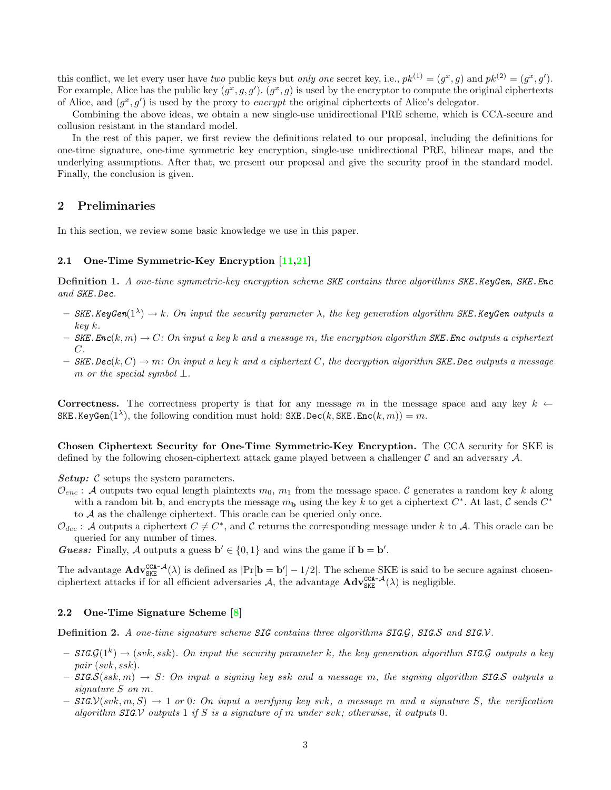this conflict, we let every user have two public keys but *only one* secret key, i.e.,  $pk^{(1)} = (g^x, g)$  and  $pk^{(2)} = (g^x, g')$ . For example, Alice has the public key  $(g^x, g, g')$ .  $(g^x, g)$  is used by the encryptor to compute the original ciphertexts of Alice, and  $(g^x, g')$  is used by the proxy to *encrypt* the original ciphertexts of Alice's delegator.

Combining the above ideas, we obtain a new single-use unidirectional PRE scheme, which is CCA-secure and collusion resistant in the standard model.

In the rest of this paper, we first review the definitions related to our proposal, including the definitions for one-time signature, one-time symmetric key encryption, single-use unidirectional PRE, bilinear maps, and the underlying assumptions. After that, we present our proposal and give the security proof in the standard model. Finally, the conclusion is given.

## 2 Preliminaries

In this section, we review some basic knowledge we use in this paper.

### 2.1 One-Time Symmetric-Key Encryption [11,21]

Definition 1. A one-time symmetric-key encryption scheme SKE contains three algorithms SKE.KeyGen, SKE.Enc and SKE.Dec.

- SKE.KeyGen( $1^{\lambda}$ )  $\rightarrow$  k. On input the security parameter  $\lambda$ , the key generation algorithm SKE.KeyGen outputs a key k.
- SKE. Enc $(k, m) \rightarrow C: On$  input a key k and a message m, the encryption algorithm SKE. Enc outputs a ciphertext C.
- SKE.Dec(k, C)  $\rightarrow$  m: On input a key k and a ciphertext C, the decryption algorithm SKE.Dec outputs a message m or the special symbol  $\perp$ .

Correctness. The correctness property is that for any message m in the message space and any key  $k \leftarrow$ SKE.KeyGen(1<sup> $\lambda$ </sup>), the following condition must hold: SKE.Dec(k, SKE.Enc(k, m)) = m.

Chosen Ciphertext Security for One-Time Symmetric-Key Encryption. The CCA security for SKE is defined by the following chosen-ciphertext attack game played between a challenger  $\mathcal C$  and an adversary  $\mathcal A$ .

**Setup:**  $\mathcal{C}$  setups the system parameters.

- $\mathcal{O}_{enc}$ : A outputs two equal length plaintexts  $m_0, m_1$  from the message space. C generates a random key k along with a random bit **b**, and encrypts the message  $m_b$  using the key k to get a ciphertext  $C^*$ . At last, C sends  $C^*$ to A as the challenge ciphertext. This oracle can be queried only once.
- $\mathcal{O}_{dec}$ : A outputs a ciphertext  $C \neq C^*$ , and C returns the corresponding message under k to A. This oracle can be queried for any number of times.

Guess: Finally, A outputs a guess  $\mathbf{b}' \in \{0,1\}$  and wins the game if  $\mathbf{b} = \mathbf{b}'$ .

The advantage  $\mathbf{Adv}_{\mathsf{SKE}}^{\mathsf{CCA-}\mathcal{A}}(\lambda)$  is defined as  $|\Pr[\mathbf{b}=\mathbf{b}'] - 1/2|$ . The scheme SKE is said to be secure against chosenciphertext attacks if for all efficient adversaries A, the advantage  $\mathbf{Adv}_{SKE}^{CCA-A}(\lambda)$  is negligible.

#### 2.2 One-Time Signature Scheme [8]

Definition 2. A one-time signature scheme SIG contains three algorithms SIG.G, SIG.S and SIG.V.

- $-$  SIG.  $\mathcal{G}(1^k) \to (svk,ssk)$ . On input the security parameter k, the key generation algorithm SIG. G outputs a key pair (svk, ssk).
- $-$  SIG.S(ssk, m)  $\rightarrow$  S: On input a signing key ssk and a message m, the signing algorithm SIG.S outputs a signature S on m.
- $-$  SIG.V(svk, m, S)  $\rightarrow$  1 or 0: On input a verifying key svk, a message m and a signature S, the verification algorithm  $\text{SIG.V}$  outputs 1 if S is a signature of m under svk; otherwise, it outputs 0.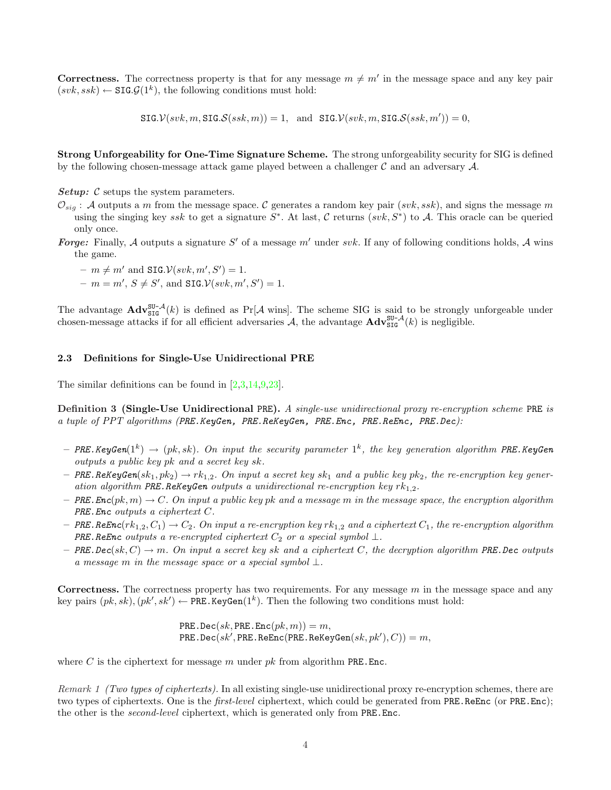**Correctness.** The correctness property is that for any message  $m \neq m'$  in the message space and any key pair  $(svk, ssk) \leftarrow \text{SIG}. \mathcal{G}(1^k)$ , the following conditions must hold:

 $\text{SIG.V}(svk, m, \text{SIG.S}(ssk, m)) = 1, \text{ and } \text{SIG.V}(svk, m, \text{SIG.S}(ssk, m')) = 0,$ 

Strong Unforgeability for One-Time Signature Scheme. The strong unforgeability security for SIG is defined by the following chosen-message attack game played between a challenger  $\mathcal C$  and an adversary  $\mathcal A$ .

Setup:  $C$  setups the system parameters.

- $\mathcal{O}_{sig}$ : A outputs a m from the message space. C generates a random key pair  $(svk, ssk)$ , and signs the message m using the singing key ssk to get a signature  $S^*$ . At last, C returns  $(svk, S^*)$  to A. This oracle can be queried only once.
- Forge: Finally, A outputs a signature S' of a message  $m'$  under svk. If any of following conditions holds, A wins the game.
	- $m \neq m'$  and SIG. $V(svk, m', S') = 1$ .
	- $-m = m', S \neq S'$ , and SIG. $V(svk, m', S') = 1$ .

The advantage  $\text{Adv}_{\text{SIG}}^{\text{SU-A}}(k)$  is defined as Pr[A wins]. The scheme SIG is said to be strongly unforgeable under chosen-message attacks if for all efficient adversaries  $\mathcal{A}$ , the advantage  $\mathbf{Adv}_{\mathsf{SIG}}^{\mathsf{SU-}\mathcal{A}}(k)$  is negligible.

#### 2.3 Definitions for Single-Use Unidirectional PRE

The similar definitions can be found in [2,3,14,9,23].

Definition 3 (Single-Use Unidirectional PRE). A single-use unidirectional proxy re-encryption scheme PRE is a tuple of PPT algorithms (PRE.KeyGen, PRE.ReKeyGen, PRE.Enc, PRE.ReEnc, PRE.Dec):

- PRE.KeyGen(1<sup>k</sup>)  $\rightarrow$  (pk, sk). On input the security parameter 1<sup>k</sup>, the key generation algorithm PRE.KeyGen outputs a public key pk and a secret key sk.
- PRE.ReKeyGen(sk<sub>1</sub>, pk<sub>2</sub>)  $\rightarrow$  rk<sub>1,2</sub>. On input a secret key sk<sub>1</sub> and a public key pk<sub>2</sub>, the re-encryption key generation algorithm PRE.ReKeyGen outputs a unidirectional re-encryption key  $rk_{1,2}$ .
- $-$  PRE. Enc(pk, m)  $\rightarrow$  C. On input a public key pk and a message m in the message space, the encryption algorithm PRE.Enc outputs a ciphertext C.
- PRE. ReEnc $(rk_{1,2}, C_1) \rightarrow C_2$ . On input a re-encryption key  $rk_{1,2}$  and a ciphertext  $C_1$ , the re-encryption algorithm PRE.ReEnc outputs a re-encrypted ciphertext  $C_2$  or a special symbol  $\perp$ .
- PRE. Dec(sk, C)  $\rightarrow$  m. On input a secret key sk and a ciphertext C, the decryption algorithm PRE. Dec outputs a message m in the message space or a special symbol  $\bot$ .

**Correctness.** The correctness property has two requirements. For any message  $m$  in the message space and any key pairs  $(pk, sk), (pk', sk') \leftarrow \text{PRE.KeyGen}(1^k)$ . Then the following two conditions must hold:

> PRE.Dec(sk, PRE.Enc( $pk, m$ )) = m,  $\texttt{PRE.Dec}(sk', \texttt{PRE.ReEnc}(\texttt{PRE.ReKeyGen}(sk, pk'), C)) = m,$

where C is the ciphertext for message m under  $pk$  from algorithm PRE. Enc.

Remark 1 (Two types of ciphertexts). In all existing single-use unidirectional proxy re-encryption schemes, there are two types of ciphertexts. One is the *first-level* ciphertext, which could be generated from PRE.ReEnc (or PRE.Enc); the other is the *second-level* ciphertext, which is generated only from PRE.Enc.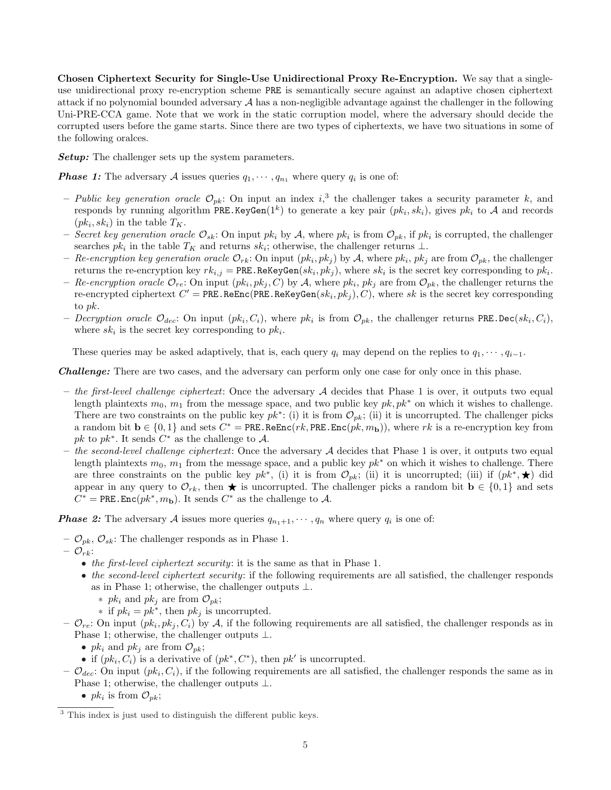Chosen Ciphertext Security for Single-Use Unidirectional Proxy Re-Encryption. We say that a singleuse unidirectional proxy re-encryption scheme PRE is semantically secure against an adaptive chosen ciphertext attack if no polynomial bounded adversary  $A$  has a non-negligible advantage against the challenger in the following Uni-PRE-CCA game. Note that we work in the static corruption model, where the adversary should decide the corrupted users before the game starts. Since there are two types of ciphertexts, we have two situations in some of the following oralces.

Setup: The challenger sets up the system parameters.

**Phase 1:** The adversary A issues queries  $q_1, \dots, q_{n_1}$  where query  $q_i$  is one of:

- Public key generation oracle  $\mathcal{O}_{pk}$ : On input an index i<sub>i</sub><sup>3</sup> the challenger takes a security parameter k, and responds by running algorithm PRE.KeyGen(1<sup>k</sup>) to generate a key pair  $(pk_i, sk_i)$ , gives  $pk_i$  to A and records  $(pk_i, sk_i)$  in the table  $T_K$ .
- Secret key generation oracle  $\mathcal{O}_{sk}$ : On input  $pk_i$  by A, where  $pk_i$  is from  $\mathcal{O}_{pk}$ , if  $pk_i$  is corrupted, the challenger searches  $pk_i$  in the table  $T_K$  and returns  $sk_i$ ; otherwise, the challenger returns  $\perp$ .
- Re-encryption key generation oracle  $\mathcal{O}_{rk}$ : On input  $(pk_i, pk_j)$  by A, where  $pk_i$ ,  $pk_j$  are from  $\mathcal{O}_{pk}$ , the challenger returns the re-encryption key  $rk_{i,j} = \text{PRE}.\text{ReKeyGen}(sk_i, pk_j),$  where  $sk_i$  is the secret key corresponding to  $pk_i$ .
- Re-encryption oracle  $\mathcal{O}_{re}$ : On input  $(pk_i, pk_j, C)$  by A, where  $pk_i$ ,  $pk_j$  are from  $\mathcal{O}_{pk}$ , the challenger returns the re-encrypted ciphertext  $C' = \texttt{PRE}.\texttt{ReEnc}(\texttt{PRE}.\texttt{ReKeyGen}(sk_i, pk_j), C)$ , where sk is the secret key corresponding to pk.
- Decryption oracle  $\mathcal{O}_{dec}$ : On input  $(pk_i, C_i)$ , where  $pk_i$  is from  $\mathcal{O}_{pk}$ , the challenger returns PRE.Dec $(sk_i, C_i)$ , where  $sk_i$  is the secret key corresponding to  $pk_i$ .

These queries may be asked adaptively, that is, each query  $q_i$  may depend on the replies to  $q_1, \dots, q_{i-1}$ .

**Challenge:** There are two cases, and the adversary can perform only one case for only once in this phase.

- the first-level challenge ciphertext: Once the adversary  $A$  decides that Phase 1 is over, it outputs two equal length plaintexts  $m_0$ ,  $m_1$  from the message space, and two public key  $pk, pk^*$  on which it wishes to challenge. There are two constraints on the public key  $pk^*$ : (i) it is from  $\mathcal{O}_{pk}$ ; (ii) it is uncorrupted. The challenger picks a random bit  $\mathbf{b} \in \{0,1\}$  and sets  $C^* = \text{PRE} \cdot \text{Rec}(rk, \text{PRE} \cdot \text{Enc}(pk, m_{\mathbf{b}}))$ , where rk is a re-encryption key from pk to pk<sup>\*</sup>. It sends  $C^*$  as the challenge to A.
- the second-level challenge ciphertext: Once the adversary  $A$  decides that Phase 1 is over, it outputs two equal length plaintexts  $m_0$ ,  $m_1$  from the message space, and a public key  $pk^*$  on which it wishes to challenge. There are three constraints on the public key  $pk^*$ , (i) it is from  $\mathcal{O}_{pk}$ ; (ii) it is uncorrupted; (iii) if  $(pk^*, \bigstar)$  did appear in any query to  $\mathcal{O}_{rk}$ , then  $\star$  is uncorrupted. The challenger picks a random bit  $\mathbf{b} \in \{0,1\}$  and sets  $C^* = \texttt{PRE}.\texttt{Enc}(pk^*, m_\mathbf{b})$ . It sends  $C^*$  as the challenge to A.

**Phase 2:** The adversary A issues more queries  $q_{n_1+1}, \dots, q_n$  where query  $q_i$  is one of:

- $-\mathcal{O}_{pk}, \mathcal{O}_{sk}$ : The challenger responds as in Phase 1.
- $\mathcal{O}_{rk}$ :
	- the first-level ciphertext security: it is the same as that in Phase 1.
	- the second-level ciphertext security: if the following requirements are all satisfied, the challenger responds as in Phase 1; otherwise, the challenger outputs ⊥.
		- ∗ *pk<sub>i</sub>* and *pk<sub>i</sub>* are from  $\mathcal{O}_{pk}$ ;
		- ∗ if  $pk_i = pk^*$ , then  $pk_j$  is uncorrupted.
- $\mathcal{O}_{re}$ : On input  $(pk_i, pk_j, C_i)$  by A, if the following requirements are all satisfied, the challenger responds as in Phase 1; otherwise, the challenger outputs ⊥.
	- $pk_i$  and  $pk_j$  are from  $\mathcal{O}_{pk}$ ;
	- if  $(pk_i, C_i)$  is a derivative of  $(pk^*, C^*)$ , then  $pk'$  is uncorrupted.
- $\mathcal{O}_{dec}$ : On input  $(pk_i, C_i)$ , if the following requirements are all satisfied, the challenger responds the same as in Phase 1; otherwise, the challenger outputs ⊥.
	- $pk_i$  is from  $\mathcal{O}_{pk}$ ;

<sup>3</sup> This index is just used to distinguish the different public keys.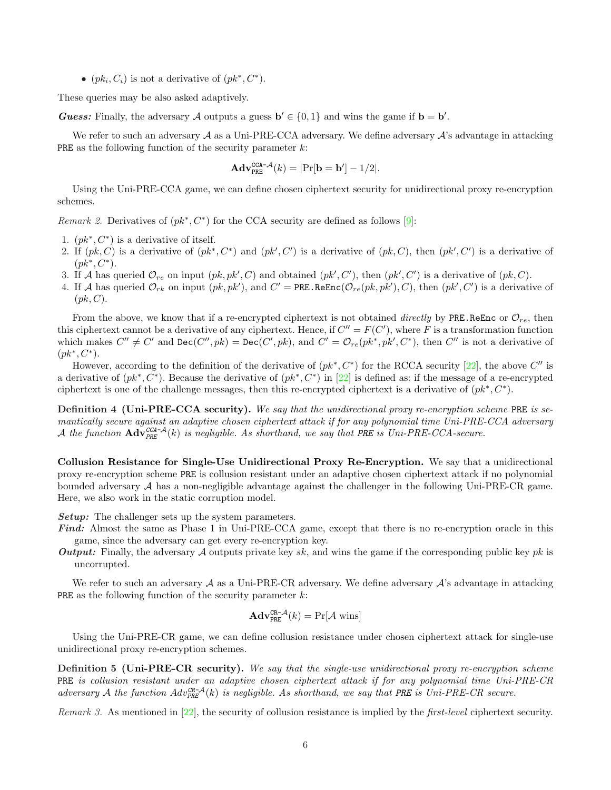•  $(pk_i, C_i)$  is not a derivative of  $(pk^*, C^*)$ .

These queries may be also asked adaptively.

Guess: Finally, the adversary A outputs a guess  $\mathbf{b}' \in \{0,1\}$  and wins the game if  $\mathbf{b} = \mathbf{b}'$ .

We refer to such an adversary  $A$  as a Uni-PRE-CCA adversary. We define adversary  $A$ 's advantage in attacking **PRE** as the following function of the security parameter  $k$ :

$$
\mathbf{Adv}_{\mathtt{PRE}}^{\mathtt{CCA-A}}(k)=|\mathrm{Pr}[\mathbf{b}=\mathbf{b}']-1/2|.
$$

Using the Uni-PRE-CCA game, we can define chosen ciphertext security for unidirectional proxy re-encryption schemes.

*Remark 2.* Derivatives of  $(pk^*, C^*)$  for the CCA security are defined as follows [9]:

- 1.  $(pk^*, C^*)$  is a derivative of itself.
- 2. If  $(pk, C)$  is a derivative of  $(pk^*, C^*)$  and  $(pk', C')$  is a derivative of  $(pk, C)$ , then  $(pk', C')$  is a derivative of  $(pk^*, C^*).$
- 3. If A has queried  $\mathcal{O}_{re}$  on input  $(pk, pk', C)$  and obtained  $(pk', C')$ , then  $(pk', C')$  is a derivative of  $(pk, C)$ .
- 4. If A has queried  $\mathcal{O}_{rk}$  on input  $(pk, pk')$ , and  $C' = \text{PRE} \cdot \text{ReEnc}(\mathcal{O}_{re}(pk, pk'), C)$ , then  $(pk', C')$  is a derivative of  $(pk, C)$ .

From the above, we know that if a re-encrypted ciphertext is not obtained directly by PRE.ReEnc or  $\mathcal{O}_{re}$ , then this ciphertext cannot be a derivative of any ciphertext. Hence, if  $C'' = F(C')$ , where F is a transformation function which makes  $C'' \neq C'$  and  $\text{Dec}(C'',pk) = \text{Dec}(C',pk)$ , and  $C' = \mathcal{O}_{re}(pk^*,pk',C^*)$ , then  $C''$  is not a derivative of  $(pk^*, C^*).$ 

However, according to the definition of the derivative of  $(pk^*, C^*)$  for the RCCA security [22], the above  $C''$  is a derivative of  $(pk^*, C^*)$ . Because the derivative of  $(pk^*, C^*)$  in [22] is defined as: if the message of a re-encrypted ciphertext is one of the challenge messages, then this re-encrypted ciphertext is a derivative of  $(pk^*, C^*)$ .

Definition 4 (Uni-PRE-CCA security). We say that the unidirectional proxy re-encryption scheme PRE is semantically secure against an adaptive chosen ciphertext attack if for any polynomial time Uni-PRE-CCA adversary A the function  $\text{Adv}_{PRE}^{\text{CCA-A}}(k)$  is negligible. As shorthand, we say that PRE is Uni-PRE-CCA-secure.

Collusion Resistance for Single-Use Unidirectional Proxy Re-Encryption. We say that a unidirectional proxy re-encryption scheme PRE is collusion resistant under an adaptive chosen ciphertext attack if no polynomial bounded adversary A has a non-negligible advantage against the challenger in the following Uni-PRE-CR game. Here, we also work in the static corruption model.

Setup: The challenger sets up the system parameters.

- Find: Almost the same as Phase 1 in Uni-PRE-CCA game, except that there is no re-encryption oracle in this game, since the adversary can get every re-encryption key.
- **Output:** Finally, the adversary A outputs private key sk, and wins the game if the corresponding public key pk is uncorrupted.

We refer to such an adversary A as a Uni-PRE-CR adversary. We define adversary  $\mathcal{A}$ 's advantage in attacking **PRE** as the following function of the security parameter  $k$ :

$$
\mathbf{Adv}_{PRE}^{CR-\mathcal{A}}(k) = \Pr[\mathcal{A} \text{ wins}]
$$

Using the Uni-PRE-CR game, we can define collusion resistance under chosen ciphertext attack for single-use unidirectional proxy re-encryption schemes.

Definition 5 (Uni-PRE-CR security). We say that the single-use unidirectional proxy re-encryption scheme PRE is collusion resistant under an adaptive chosen ciphertext attack if for any polynomial time Uni-PRE-CR adversary A the function  $Adv_{PRE}^{CR-A}(k)$  is negligible. As shorthand, we say that PRE is Uni-PRE-CR secure.

Remark 3. As mentioned in  $[22]$ , the security of collusion resistance is implied by the *first-level* ciphertext security.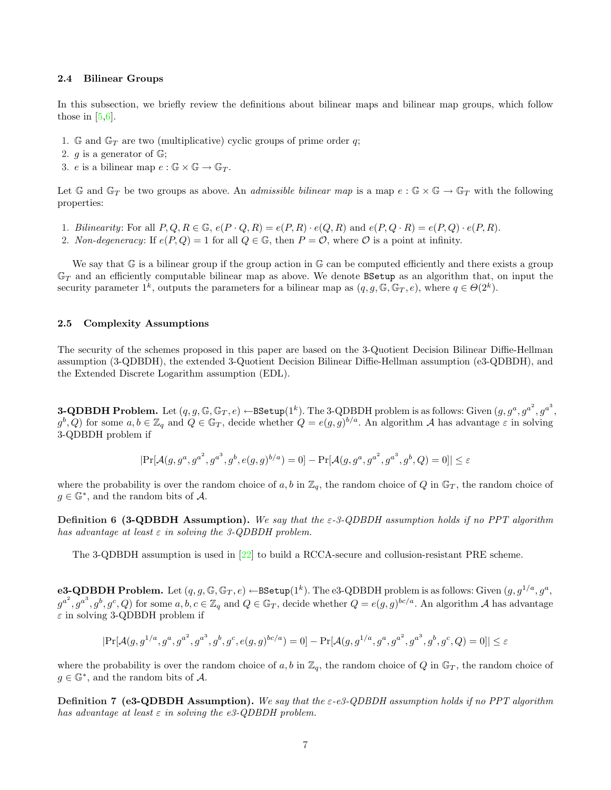#### 2.4 Bilinear Groups

In this subsection, we briefly review the definitions about bilinear maps and bilinear map groups, which follow those in  $[5,6]$ .

- 1. G and  $\mathbb{G}_T$  are two (multiplicative) cyclic groups of prime order q;
- 2. *g* is a generator of  $\mathbb{G}$ ;
- 3. e is a bilinear map  $e : \mathbb{G} \times \mathbb{G} \to \mathbb{G}_T$ .

Let G and  $\mathbb{G}_T$  be two groups as above. An *admissible bilinear map* is a map  $e : \mathbb{G} \times \mathbb{G} \to \mathbb{G}_T$  with the following properties:

- 1. Bilinearity: For all  $P, Q, R \in \mathbb{G}$ ,  $e(P \cdot Q, R) = e(P, R) \cdot e(Q, R)$  and  $e(P, Q \cdot R) = e(P, Q) \cdot e(P, R)$ .
- 2. Non-degeneracy: If  $e(P,Q) = 1$  for all  $Q \in \mathbb{G}$ , then  $P = \mathcal{O}$ , where  $\mathcal O$  is a point at infinity.

We say that  $\mathbb G$  is a bilinear group if the group action in  $\mathbb G$  can be computed efficiently and there exists a group  $\mathbb{G}_T$  and an efficiently computable bilinear map as above. We denote BSetup as an algorithm that, on input the security parameter  $1^k$ , outputs the parameters for a bilinear map as  $(q, g, \mathbb{G}, \mathbb{G}_T, e)$ , where  $q \in \Theta(2^k)$ .

#### 2.5 Complexity Assumptions

The security of the schemes proposed in this paper are based on the 3-Quotient Decision Bilinear Diffie-Hellman assumption (3-QDBDH), the extended 3-Quotient Decision Bilinear Diffie-Hellman assumption (e3-QDBDH), and the Extended Discrete Logarithm assumption (EDL).

**3-QDBDH Problem.** Let  $(q,g,\mathbb{G},\mathbb{G}_T,e) \leftarrow$ BSetup $(1^k)$ . The 3-QDBDH problem is as follows: Given  $(g,g^a,g^{a^2},g^{a^3},$  $(g^b, Q)$  for some  $a, b \in \mathbb{Z}_q$  and  $Q \in \mathbb{G}_T$ , decide whether  $Q = e(g, g)^{b/a}$ . An algorithm A has advantage  $\varepsilon$  in solving 3-QDBDH problem if

$$
|\Pr[\mathcal{A}(g, g^a, g^{a^2}, g^{a^3}, g^b, e(g, g)^{b/a}) = 0] - \Pr[\mathcal{A}(g, g^a, g^{a^2}, g^{a^3}, g^b, Q) = 0]| \le \varepsilon
$$

where the probability is over the random choice of a, b in  $\mathbb{Z}_q$ , the random choice of Q in  $\mathbb{G}_T$ , the random choice of  $g \in \mathbb{G}^*$ , and the random bits of A.

Definition 6 (3-QDBDH Assumption). We say that the  $\varepsilon$ -3-QDBDH assumption holds if no PPT algorithm has advantage at least  $\varepsilon$  in solving the 3-QDBDH problem.

The 3-QDBDH assumption is used in [22] to build a RCCA-secure and collusion-resistant PRE scheme.

 ${\bf e3\text{-}QDBDH}$   ${\bf Problem.}$  Let  $(q,g,\mathbb{G},\mathbb{G}_T,e)$   $\leftarrow$   ${\bf BSetup}(1^k).$  The  ${\bf e3\text{-}QDBDH}$  problem is as follows: Given  $(g,g^{1/a},g^a,$  $g^{a^2}, g^{a^3}, g^b, g^c, Q$ ) for some  $a, b, c \in \mathbb{Z}_q$  and  $Q \in \mathbb{G}_T$ , decide whether  $Q = e(g, g)^{bc/a}$ . An algorithm A has advantage  $\varepsilon$  in solving 3-QDBDH problem if

$$
|\text{Pr}[\mathcal{A}(g,g^{1/a},g^a,g^{a^2},g^{a^3},g^b,g^c,e(g,g)^{bc/a})=0]-\text{Pr}[\mathcal{A}(g,g^{1/a},g^a,g^{a^2},g^{a^3},g^b,g^c,Q)=0]|\leq \varepsilon
$$

where the probability is over the random choice of a, b in  $\mathbb{Z}_q$ , the random choice of Q in  $\mathbb{G}_T$ , the random choice of  $g \in \mathbb{G}^*$ , and the random bits of A.

Definition 7 (e3-QDBDH Assumption). We say that the  $\varepsilon$ -e3-QDBDH assumption holds if no PPT algorithm has advantage at least  $\varepsilon$  in solving the e3-QDBDH problem.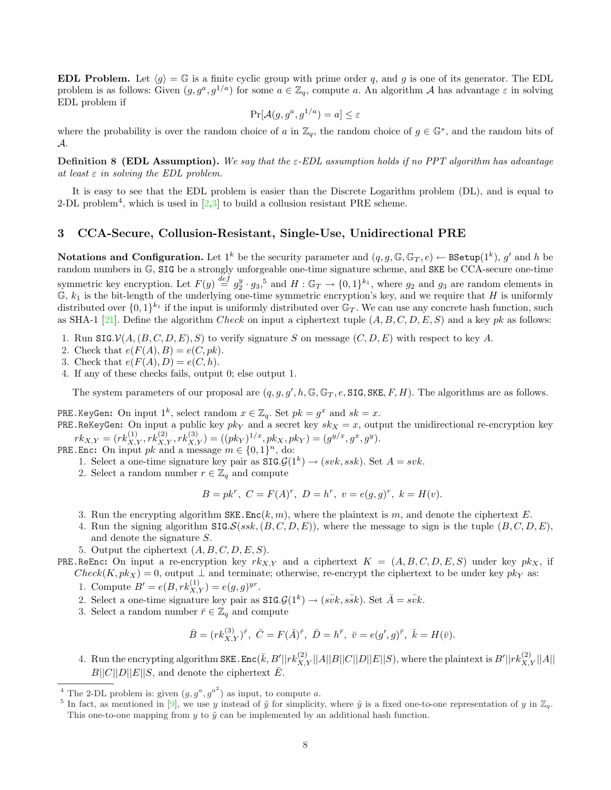**EDL Problem.** Let  $\langle q \rangle = \mathbb{G}$  is a finite cyclic group with prime order q, and g is one of its generator. The EDL problem is as follows: Given  $(g, g^a, g^{1/a})$  for some  $a \in \mathbb{Z}_q$ , compute a. An algorithm A has advantage  $\varepsilon$  in solving EDL problem if

$$
\Pr[\mathcal{A}(g, g^a, g^{1/a}) = a] \le \varepsilon
$$

where the probability is over the random choice of a in  $\mathbb{Z}_q$ , the random choice of  $g \in \mathbb{G}^*$ , and the random bits of A.

Definition 8 (EDL Assumption). We say that the ε-EDL assumption holds if no PPT algorithm has advantage at least  $\varepsilon$  in solving the EDL problem.

It is easy to see that the EDL problem is easier than the Discrete Logarithm problem (DL), and is equal to 2-DL problem<sup>4</sup>, which is used in [2,3] to build a collusion resistant PRE scheme.

### 3 CCA-Secure, Collusion-Resistant, Single-Use, Unidirectional PRE

Notations and Configuration. Let  $1^k$  be the security parameter and  $(q,g,\mathbb{G},\mathbb{G}_T,e)\leftarrow$  BSetup $(1^k),\,g'$  and  $h$  be random numbers in G, SIG be a strongly unforgeable one-time signature scheme, and SKE be CCA-secure one-time symmetric key encryption. Let  $F(y) \stackrel{def}{=} g_2^y \cdot g_3$ ,<sup>5</sup> and  $H : \mathbb{G}_T \to \{0,1\}^{k_1}$ , where  $g_2$  and  $g_3$  are random elements in  $\mathbb{G}, k_1$  is the bit-length of the underlying one-time symmetric encryption's key, and we require that H is uniformly distributed over  $\{0,1\}^{k_1}$  if the input is uniformly distributed over  $\mathbb{G}_T$ . We can use any concrete hash function, such as SHA-1 [21]. Define the algorithm Check on input a ciphertext tuple  $(A, B, C, D, E, S)$  and a key pk as follows:

- 1. Run SIG. $V(A, (B, C, D, E), S)$  to verify signature S on message  $(C, D, E)$  with respect to key A.
- 2. Check that  $e(F(A), B) = e(C, pk)$ .
- 3. Check that  $e(F(A), D) = e(C, h)$ .
- 4. If any of these checks fails, output 0; else output 1.

The system parameters of our proposal are  $(q, g, g', h, \mathbb{G}, \mathbb{G}_T, e, \text{SIG}, \text{SKE}, F, H)$ . The algorithms are as follows.

PRE.KeyGen: On input  $1^k$ , select random  $x \in \mathbb{Z}_q$ . Set  $pk = g^x$  and  $sk = x$ .

PRE.ReKeyGen: On input a public key  $pk<sub>Y</sub>$  and a secret key  $sk<sub>X</sub> = x$ , output the unidirectional re-encryption key  $rk_{X,Y} = (rk_{X,Y}^{(1)}, rk_{X,Y}^{(2)}, rk_{X,Y}^{(3)}) = ((pk_{Y})^{1/x}, pk_{X}, pk_{Y}) = (g^{y/x}, g^{x}, g^{y}).$ 

PRE. Enc: On input pk and a message  $m \in \{0,1\}^n$ , do:

- 1. Select a one-time signature key pair as  $\text{SIGG}(1^k) \to (svk, ssk)$ . Set  $A = svk$ .
- 2. Select a random number  $r \in \mathbb{Z}_q$  and compute

$$
B = pk^r, \ C = F(A)^r, \ D = h^r, \ v = e(g, g)^r, \ k = H(v).
$$

- 3. Run the encrypting algorithm  $SKE$ .  $Enc(k, m)$ , where the plaintext is m, and denote the ciphertext E.
- 4. Run the signing algorithm  $\text{SIG.S}(ssk, (B, C, D, E))$ , where the message to sign is the tuple  $(B, C, D, E)$ , and denote the signature S.
- 5. Output the ciphertext  $(A, B, C, D, E, S)$ .

PRE.ReEnc: On input a re-encryption key  $rk_{X,Y}$  and a ciphertext  $K = (A, B, C, D, E, S)$  under key  $pk_X$ , if  $Check(K, pk_X) = 0$ , output  $\perp$  and terminate; otherwise, re-encrypt the ciphertext to be under key  $pk_Y$  as:

- 1. Compute  $B' = e(B, rk_{X,Y}^{(1)}) = e(g,g)^{yr}$ .
- 2. Select a one-time signature key pair as  $\text{SIGG}(1^k) \to (s\bar{vk}, s\bar{sk})$ . Set  $\bar{A} = s\bar{vk}$ .
- 3. Select a random number  $\bar{r} \in \mathbb{Z}_q$  and compute

$$
\bar{B}=(rk_{X,Y}^{(3)})^{\bar{r}},\ \bar{C}=F(\bar{A})^{\bar{r}},\ \bar{D}=h^{\bar{r}},\ \bar{v}=e(g',g)^{\bar{r}},\ \bar{k}=H(\bar{v}).
$$

4. Run the encrypting algorithm SKE. Enc $(\bar{k},B'||rk_{X,Y}^{(2)}||A||B||C||D||E||S)$ , where the plaintext is  $B'||rk_{X,Y}^{(2)}||A||$  $B||C||D||E||S$ , and denote the ciphertext  $\overline{E}$ .

<sup>&</sup>lt;sup>4</sup> The 2-DL problem is: given  $(g, g^a, g^{a^2})$  as input, to compute a.

<sup>&</sup>lt;sup>5</sup> In fact, as mentioned in [9], we use y instead of  $\tilde{y}$  for simplicity, where  $\tilde{y}$  is a fixed one-to-one representation of y in  $\mathbb{Z}_q$ . This one-to-one mapping from  $y$  to  $\tilde{y}$  can be implemented by an additional hash function.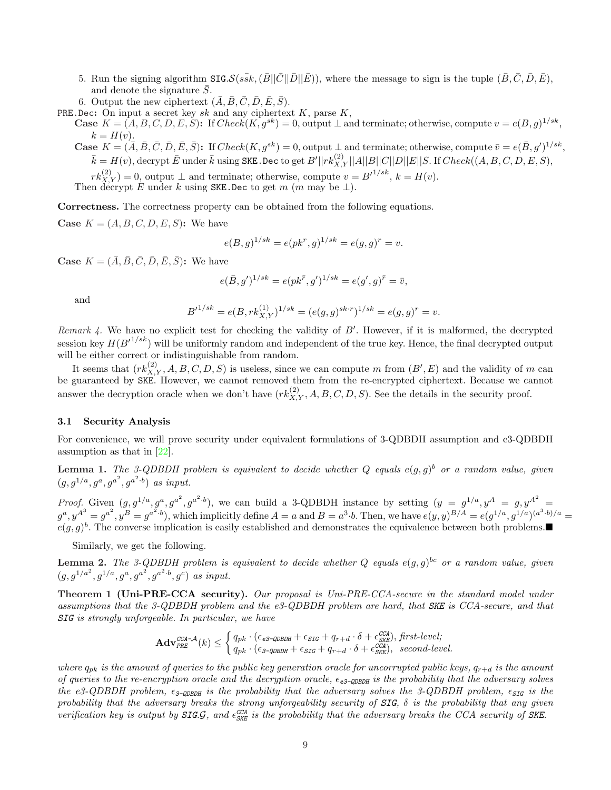- 5. Run the signing algorithm  $\text{SIG.S}(s\overline{s}k, (\overline{B}||\overline{C}||\overline{D}||\overline{E}))$ , where the message to sign is the tuple  $(\overline{B}, \overline{C}, \overline{D}, \overline{E})$ , and denote the signature  $\bar{S}$ .
- 6. Output the new ciphertext  $(\bar{A}, \bar{B}, \bar{C}, \bar{D}, \bar{E}, \bar{S})$ .
- PRE.Dec: On input a secret key sk and any ciphertext  $K$ , parse  $K$ ,

**Case**  $K = (A, B, C, D, E, S)$ : If  $Check(K, g^{sk}) = 0$ , output  $\perp$  and terminate; otherwise, compute  $v = e(B, g)^{1/sk}$ ,  $k = H(v).$ 

**Case**  $K = (\overline{A}, \overline{B}, \overline{C}, \overline{D}, \overline{E}, \overline{S})$ : If  $Check(K, g^{sk}) = 0$ , output  $\perp$  and terminate; otherwise, compute  $\overline{v} = e(\overline{B}, g')^{1/sk}$ ,  $\bar{k} = H(v),$  decrypt  $\bar{E}$  under  $\bar{k}$  using SKE. Dec to get  $B'||rk_{X,Y}^{(2)}||A||B||C||D||E||S.$  If  $Check((A,B,C,D,E,S),$ 

 $rk_{X,Y}^{(2)}$  = 0, output  $\perp$  and terminate; otherwise, compute  $v = B'^{1/sk}$ ,  $k = H(v)$ .

Then decrypt E under k using SKE.Dec to get m  $(m \text{ may be } \perp)$ .

Correctness. The correctness property can be obtained from the following equations.

Case  $K = (A, B, C, D, E, S)$ : We have

$$
e(B,g)^{1/sk} = e(pk^r, g)^{1/sk} = e(g, g)^r = v.
$$

**Case**  $K = (\overline{A}, \overline{B}, \overline{C}, \overline{D}, \overline{E}, \overline{S})$ : We have

$$
e(\bar{B}, g')^{1/sk} = e(pk^{\bar{r}}, g')^{1/sk} = e(g', g)^{\bar{r}} = \bar{v},
$$

and

$$
{B'}^{1/sk} = e(B, rk_{X,Y}^{(1)})^{1/sk} = (e(g,g)^{sk \cdot r})^{1/sk} = e(g,g)^r = v.
$$

Remark  $\sharp$ . We have no explicit test for checking the validity of B'. However, if it is malformed, the decrypted session key  $H(B^{(1/sk})$  will be uniformly random and independent of the true key. Hence, the final decrypted output will be either correct or indistinguishable from random.

It seems that  $(rk_{X,Y}^{(2)}, A, B, C, D, S)$  is useless, since we can compute m from  $(B', E)$  and the validity of m can be guaranteed by SKE. However, we cannot removed them from the re-encrypted ciphertext. Because we cannot answer the decryption oracle when we don't have  $(r k_{X,Y}^{(2)}, A, B, C, D, S)$ . See the details in the security proof.

### 3.1 Security Analysis

For convenience, we will prove security under equivalent formulations of 3-QDBDH assumption and e3-QDBDH assumption as that in [22].

**Lemma 1.** The 3-QDBDH problem is equivalent to decide whether Q equals  $e(g,g)^b$  or a random value, given  $(g, g^{1/a}, g^a, g^{a^2}, g^{a^2 \cdot b})$  as input.

*Proof.* Given  $(g, g^{1/a}, g^a, g^{a^2} \cdot g^{a^2 \cdot b})$ , we can build a 3-QDBDH instance by setting  $(y = g^{1/a}, y^A = g, y^{A^2} = g^{A^2} \cdot g^{A^2}$  $g^a, y^{A^3} = g^{a^2}, y^B = g^{a^2 \cdot b}$ , which implicitly define  $A = a$  and  $B = a^3 \cdot b$ . Then, we have  $e(y, y)^{B/A} = e(g^{1/a}, g^{1/a})^{(a^3 \cdot b)/a} =$  $e(g, g)^b$ . The converse implication is easily established and demonstrates the equivalence between both problems.

Similarly, we get the following.

**Lemma 2.** The 3-QDBDH problem is equivalent to decide whether Q equals  $e(g, g)^{bc}$  or a random value, given  $(g, g^{1/a^2}, g^{1/a}, g^a, g^{a^2}, g^{a^2 \cdot b}, g^c)$  as input.

Theorem 1 (Uni-PRE-CCA security). Our proposal is Uni-PRE-CCA-secure in the standard model under assumptions that the 3-QDBDH problem and the e3-QDBDH problem are hard, that SKE is CCA-secure, and that SIG is strongly unforgeable. In particular, we have

$$
\mathbf{Adv}_{PRE}^{\textit{CCA-A}}(k) \leq \begin{cases} q_{pk} \cdot (\epsilon_{e3\textit{-qDBDH}} + \epsilon_{\textit{SIG}} + q_{r+d} \cdot \delta + \epsilon_{\textit{SKE}}^{\textit{CCA}}), \textit{first-level}; \\ q_{pk} \cdot (\epsilon_{3\textit{-qDBDH}} + \epsilon_{\textit{SIG}} + q_{r+d} \cdot \delta + \epsilon_{\textit{SKE}}^{\textit{CCA}}), \textit{second-level}. \end{cases}
$$

where  $q_{pk}$  is the amount of queries to the public key generation oracle for uncorrupted public keys,  $q_{r+d}$  is the amount of queries to the re-encryption oracle and the decryption oracle,  $\epsilon_{e3\text{-qDBDH}}$  is the probability that the adversary solves the e3-QDBDH problem,  $\epsilon_{3-\text{qDBDH}}$  is the probability that the adversary solves the 3-QDBDH problem,  $\epsilon_{SIG}$  is the probability that the adversary breaks the strong unforgeability security of  $STG$ ,  $\delta$  is the probability that any given verification key is output by SIG.G, and  $\epsilon_{SKE}^{CCA}$  is the probability that the adversary breaks the CCA security of SKE.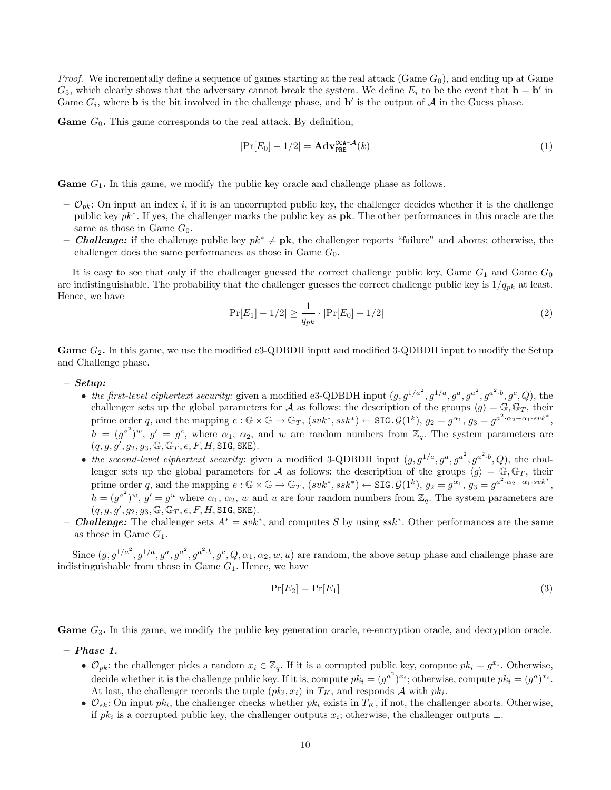*Proof.* We incrementally define a sequence of games starting at the real attack (Game  $G_0$ ), and ending up at Game  $G_5$ , which clearly shows that the adversary cannot break the system. We define  $E_i$  to be the event that  $\mathbf{b} = \mathbf{b}'$  in Game  $G_i$ , where **b** is the bit involved in the challenge phase, and **b'** is the output of A in the Guess phase.

**Game**  $G_0$ . This game corresponds to the real attack. By definition,

$$
|\Pr[E_0] - 1/2| = \mathbf{Adv}_{PRE}^{\text{CCA-A}}(k)
$$
\n(1)

**Game**  $G_1$ . In this game, we modify the public key oracle and challenge phase as follows.

- $-\mathcal{O}_{nk}$ : On input an index i, if it is an uncorrupted public key, the challenger decides whether it is the challenge public key  $pk^*$ . If yes, the challenger marks the public key as  $pk$ . The other performances in this oracle are the same as those in Game  $G_0$ .
- **Challenge:** if the challenge public key  $pk^* \neq pk$ , the challenger reports "failure" and aborts; otherwise, the challenger does the same performances as those in Game  $G_0$ .

It is easy to see that only if the challenger guessed the correct challenge public key, Game  $G_1$  and Game  $G_0$ are indistinguishable. The probability that the challenger guesses the correct challenge public key is  $1/q_{pk}$  at least. Hence, we have

$$
|\Pr[E_1] - 1/2| \ge \frac{1}{q_{pk}} \cdot |\Pr[E_0] - 1/2| \tag{2}
$$

**Game**  $G_2$ . In this game, we use the modified e3-QDBDH input and modified 3-QDBDH input to modify the Setup and Challenge phase.

#### – Setup:

- the first-level ciphertext security: given a modified e3-QDBDH input  $(g, g^{1/a^2}, g^{1/a}, g^a, g^{a^2}, g^{a^2 \cdot b}, g^c, Q)$ , the challenger sets up the global parameters for A as follows: the description of the groups  $\langle g \rangle = \mathbb{G}, \mathbb{G}_T$ , their prime order q, and the mapping  $e : \mathbb{G} \times \mathbb{G} \to \mathbb{G}_T$ ,  $(svk^*,ssk^*) \leftarrow \text{SIG.G}(1^k)$ ,  $g_2 = g^{\alpha_1}, g_3 = g^{a^2 \cdot \alpha_2 - \alpha_1 \cdot svk^*}$ ,  $h = (g^{a^2})^w$ ,  $g' = g^c$ , where  $\alpha_1, \alpha_2$ , and w are random numbers from  $\mathbb{Z}_q$ . The system parameters are  $(q, g, g', g_2, g_3, \mathbb{G}, \mathbb{G}_T, e, F, H, \texttt{SIG}, \texttt{SKE}).$
- the second-level ciphertext security: given a modified 3-QDBDH input  $(g, g^{1/a}, g^a, g^{a^2}, g^{a^2 \cdot b}, Q)$ , the challenger sets up the global parameters for A as follows: the description of the groups  $\langle g \rangle = \mathbb{G}, \mathbb{G}_T$ , their prime order q, and the mapping  $e : \mathbb{G} \times \mathbb{G} \to \mathbb{G}_T$ ,  $(svk^*,ssk^*) \leftarrow \text{SIG.G}(1^k)$ ,  $g_2 = g^{\alpha_1}, g_3 = g^{a^2 \cdot \alpha_2 - \alpha_1 \cdot svk^*}$ ,  $h = (g^{a^2})^w$ ,  $g' = g^u$  where  $\alpha_1, \alpha_2, w$  and u are four random numbers from  $\mathbb{Z}_q$ . The system parameters are  $(q, g, g', g_2, g_3, \mathbb{G}, \mathbb{G}_T, e, F, H, \texttt{SIG}, \texttt{SKE}).$
- **Challenge:** The challenger sets  $A^* = svk^*$ , and computes S by using  $ssk^*$ . Other performances are the same as those in Game  $G_1$ .

Since  $(g, g^{1/a^2}, g^{1/a}, g^a, g^{a^2}, g^{a^2 \cdot b}, g^c, Q, \alpha_1, \alpha_2, w, u)$  are random, the above setup phase and challenge phase are indistinguishable from those in Game  $G_1$ . Hence, we have

$$
\Pr[E_2] = \Pr[E_1] \tag{3}
$$

Game  $G_3$ . In this game, we modify the public key generation oracle, re-encryption oracle, and decryption oracle.

– Phase 1.

- $\mathcal{O}_{pk}$ : the challenger picks a random  $x_i \in \mathbb{Z}_q$ . If it is a corrupted public key, compute  $pk_i = g^{x_i}$ . Otherwise, decide whether it is the challenge public key. If it is, compute  $pk_i = (g^{a^2})^{x_i}$ ; otherwise, compute  $pk_i = (g^a)^{x_i}$ . At last, the challenger records the tuple  $(pk_i, x_i)$  in  $T_K$ , and responds A with  $pk_i$ .
- $\mathcal{O}_{sk}$ : On input  $pk_i$ , the challenger checks whether  $pk_i$  exists in  $T_K$ , if not, the challenger aborts. Otherwise, if  $pk_i$  is a corrupted public key, the challenger outputs  $x_i$ ; otherwise, the challenger outputs  $\perp$ .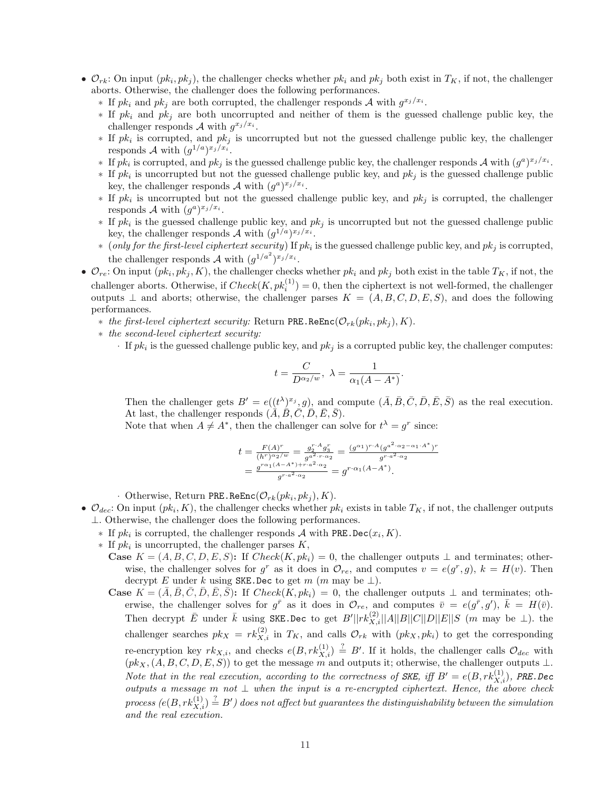- $\mathcal{O}_{rk}$ : On input  $(pk_i, pk_j)$ , the challenger checks whether  $pk_i$  and  $pk_j$  both exist in  $T_K$ , if not, the challenger aborts. Otherwise, the challenger does the following performances.
	- ∗ If  $pk_i$  and  $pk_j$  are both corrupted, the challenger responds A with  $g^{x_j/x_i}$ .
	- $∗$  If  $pk<sub>i</sub>$  and  $pk<sub>j</sub>$  are both uncorrupted and neither of them is the guessed challenge public key, the challenger responds A with  $g^{x_j/x_i}$ .
	- $∗$  If  $pk_i$  is corrupted, and  $pk_j$  is uncorrupted but not the guessed challenge public key, the challenger responds A with  $(g^{1/a})^{x_j/x_i}$ .
	- ∗ If  $pk_i$  is corrupted, and  $pk_j$  is the guessed challenge public key, the challenger responds A with  $(g^a)^{x_j/x_i}$ .
	- $∗$  If  $pk<sub>i</sub>$  is uncorrupted but not the guessed challenge public key, and  $pk<sub>j</sub>$  is the guessed challenge public key, the challenger responds A with  $(g^a)^{x_j/x_i}$ .
	- $∗$  If  $pk<sub>i</sub>$  is uncorrupted but not the guessed challenge public key, and  $pk<sub>j</sub>$  is corrupted, the challenger responds A with  $(g^a)^{x_j/x_i}$ .
	- $∗$  If  $pk<sub>i</sub>$  is the guessed challenge public key, and  $pk<sub>j</sub>$  is uncorrupted but not the guessed challenge public key, the challenger responds A with  $(g^{1/a})^{x_j/x_i}$ .
	- $*$  (only for the first-level ciphertext security) If  $pk_i$  is the guessed challenge public key, and  $pk_j$  is corrupted, the challenger responds A with  $(g^{1/a^2})^{x_j/x_i}$ .
- $\mathcal{O}_{re}$ : On input  $(pk_i, pk_j, K)$ , the challenger checks whether  $pk_i$  and  $pk_j$  both exist in the table  $T_K$ , if not, the challenger aborts. Otherwise, if  $Check(K, pk_i^{(1)}) = 0$ , then the ciphertext is not well-formed, the challenger outputs  $\perp$  and aborts; otherwise, the challenger parses  $K = (A, B, C, D, E, S)$ , and does the following performances.
	- \* the first-level ciphertext security: Return PRE.ReEnc $(\mathcal{O}_{rk}(pk_i, pk_j), K)$ .
	- ∗ the second-level ciphertext security:
		- If  $pk_i$  is the guessed challenge public key, and  $pk_j$  is a corrupted public key, the challenger computes:

$$
t=\frac{C}{D^{\alpha_2/w}},\ \lambda=\frac{1}{\alpha_1(A-A^*)}.
$$

Then the challenger gets  $B' = e((t^{\lambda})^{x_j}, g)$ , and compute  $(\overline{A}, \overline{B}, \overline{C}, \overline{D}, \overline{E}, \overline{S})$  as the real execution. At last, the challenger responds  $(\overline{A}, \overline{B}, \overline{C}, \overline{D}, \overline{E}, \overline{S})$ .

Note that when  $A \neq A^*$ , then the challenger can solve for  $t^{\lambda} = g^r$  since:

$$
t = \frac{F(A)^r}{(h^r)^{\alpha_2/w}} = \frac{g_2^{r \cdot A} g_3^r}{g^{a^2 \cdot r \cdot \alpha_2}} = \frac{(g^{\alpha_1})^{r \cdot A} (g^{a^2 \cdot \alpha_2 - \alpha_1 \cdot A^*)r}}{g^{r \cdot a^2 \cdot \alpha_2}} = \frac{g^{r \alpha_1 (A - A^*) + r \cdot a^2 \cdot \alpha_2}}{g^{r \cdot a^2 \cdot \alpha_2}} = g^{r \cdot \alpha_1 (A - A^*)}.
$$

· Otherwise, Return PRE.ReEnc $(\mathcal{O}_{rk}(pk_i, pk_j), K)$ .

- $\mathcal{O}_{dec}$ : On input  $(pk_i, K)$ , the challenger checks whether  $pk_i$  exists in table  $T_K$ , if not, the challenger outputs ⊥. Otherwise, the challenger does the following performances.
	- ∗ If  $pk_i$  is corrupted, the challenger responds  $A$  with PRE.Dec( $x_i, K$ ).
	- $*$  If  $pk_i$  is uncorrupted, the challenger parses  $K$ ,
		- Case  $K = (A, B, C, D, E, S)$ : If  $Check(K, pk) = 0$ , the challenger outputs  $\perp$  and terminates; otherwise, the challenger solves for  $g^r$  as it does in  $\mathcal{O}_{re}$ , and computes  $v = e(g^r, g)$ ,  $k = H(v)$ . Then decrypt E under k using SKE.Dec to get m  $(m \text{ may be } \perp)$ .
		- Case  $K = (\overline{A}, \overline{B}, \overline{C}, \overline{D}, \overline{E}, \overline{S})$ : If  $Check(K, pk_i) = 0$ , the challenger outputs ⊥ and terminates; otherwise, the challenger solves for  $g^{\bar{r}}$  as it does in  $\mathcal{O}_{re}$ , and computes  $\bar{v} = e(g^{\bar{r}}, g')$ ,  $\bar{k} = H(\bar{v})$ . Then decrypt  $\bar{E}$  under  $\bar{k}$  using SKE.Dec to get  $B'||rk_{X,i}^{(2)}||A||B||C||D||E||S$  (m may be  $\bot$ ). the challenger searches  $pk_X = rk_{X,i}^{(2)}$  in  $T_K$ , and calls  $\mathcal{O}_{rk}$  with  $(pk_X, pk_i)$  to get the corresponding re-encryption key  $rk_{X,i}$ , and checks  $e(B, rk_{X,i}^{(1)}) \stackrel{?}{=} B'$ . If it holds, the challenger calls  $\mathcal{O}_{dec}$  with  $(pk_X, (A, B, C, D, E, S))$  to get the message m and outputs it; otherwise, the challenger outputs ⊥. Note that in the real execution, according to the correctness of SKE, iff  $B' = e(B, rk_{X,i}^{(1)})$ , PRE.Dec outputs a message m not  $\perp$  when the input is a re-encrypted ciphertext. Hence, the above check  $process\ (e(B,rk^{(1)}_{X,i})\stackrel{?}{=}B')$  does not affect but guarantees the distinguishability between the simulation and the real execution.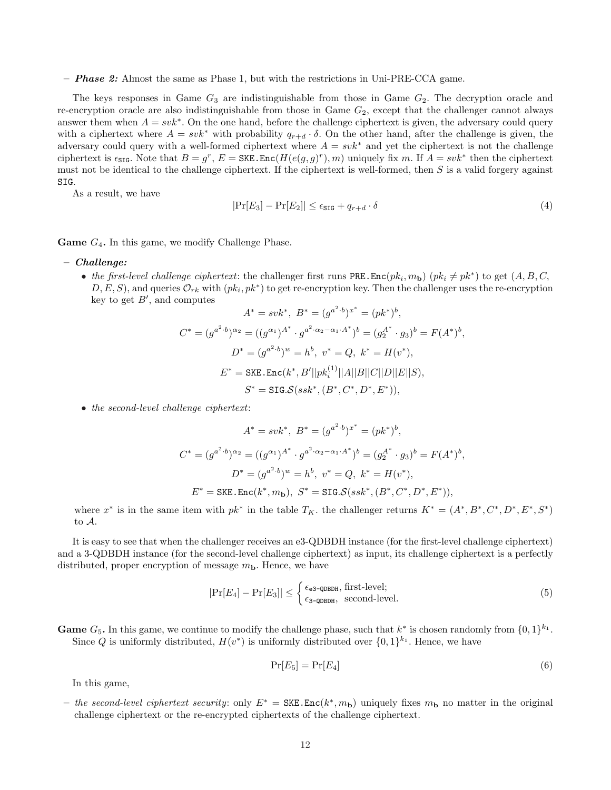$-$  **Phase 2:** Almost the same as Phase 1, but with the restrictions in Uni-PRE-CCA game.

The keys responses in Game  $G_3$  are indistinguishable from those in Game  $G_2$ . The decryption oracle and re-encryption oracle are also indistinguishable from those in Game  $G_2$ , except that the challenger cannot always answer them when  $A = svk^*$ . On the one hand, before the challenge ciphertext is given, the adversary could query with a ciphertext where  $A = svk^*$  with probability  $q_{r+d} \cdot \delta$ . On the other hand, after the challenge is given, the adversary could query with a well-formed ciphertext where  $A = svk^*$  and yet the ciphertext is not the challenge ciphertext is  $\epsilon_{\text{SIG}}$ . Note that  $B = g^r$ ,  $E = \text{SKE} \cdot \text{Enc}(H(e(g, g)^r), m)$  uniquely fix m. If  $A = svk^*$  then the ciphertext must not be identical to the challenge ciphertext. If the ciphertext is well-formed, then  $S$  is a valid forgery against SIG.

As a result, we have

$$
|\Pr[E_3] - \Pr[E_2]| \le \epsilon_{\text{SIG}} + q_{r+d} \cdot \delta \tag{4}
$$

**Game**  $G_4$ . In this game, we modify Challenge Phase.

– Challenge:

• the first-level challenge ciphertext: the challenger first runs PRE.Enc( $pk_i, m_b$ ) ( $pk_i \neq pk^*$ ) to get  $(A, B, C,$  $(D, E, S)$ , and queries  $\mathcal{O}_{rk}$  with  $(pk_i, pk^*)$  to get re-encryption key. Then the challenger uses the re-encryption key to get  $B'$ , and computes

$$
A^* = svk^*, \ B^* = (g^{a^2 \cdot b})^{x^*} = (pk^*)^b,
$$
  

$$
C^* = (g^{a^2 \cdot b})^{\alpha_2} = ((g^{\alpha_1})^{A^*} \cdot g^{a^2 \cdot \alpha_2 - \alpha_1 \cdot A^*})^b = (g_2^{A^*} \cdot g_3)^b = F(A^*)^b,
$$
  

$$
D^* = (g^{a^2 \cdot b})^w = h^b, \ v^* = Q, \ k^* = H(v^*),
$$
  

$$
E^* = \text{SKE} \cdot \text{Enc}(k^*, B'||pk_i^{(1)}||A||B||C||D||E||S),
$$
  

$$
S^* = \text{SIG} \cdot S(ssk^*, (B^*, C^*, D^*, E^*)),
$$

• the second-level challenge ciphertext:

$$
A^* = svk^*, \ B^* = (g^{a^2 \cdot b})^{x^*} = (pk^*)^b,
$$
  

$$
C^* = (g^{a^2 \cdot b})^{\alpha_2} = ((g^{\alpha_1})^{A^*} \cdot g^{a^2 \cdot \alpha_2 - \alpha_1 \cdot A^*})^b = (g_2^{A^*} \cdot g_3)^b = F(A^*)^b,
$$
  

$$
D^* = (g^{a^2 \cdot b})^w = h^b, \ v^* = Q, \ k^* = H(v^*),
$$
  

$$
E^* = \text{SKE}.\text{Enc}(k^*, m_b), \ S^* = \text{SIG}.\mathcal{S}(ssk^*, (B^*, C^*, D^*, E^*)),
$$

where  $x^*$  is in the same item with  $pk^*$  in the table  $T_K$ , the challenger returns  $K^* = (A^*, B^*, C^*, D^*, E^*, S^*)$ to A.

It is easy to see that when the challenger receives an e3-QDBDH instance (for the first-level challenge ciphertext) and a 3-QDBDH instance (for the second-level challenge ciphertext) as input, its challenge ciphertext is a perfectly distributed, proper encryption of message  $m_{\mathbf{b}}$ . Hence, we have

$$
|\Pr[E_4] - \Pr[E_3]| \le \begin{cases} \epsilon_{\text{e3-QDBDH}}, \text{ first-level};\\ \epsilon_{\text{3-QDBDH}}, \text{ second-level}. \end{cases} \tag{5}
$$

**Game**  $G_5$ . In this game, we continue to modify the challenge phase, such that  $k^*$  is chosen randomly from  $\{0,1\}^{k_1}$ . Since Q is uniformly distributed,  $H(v^*)$  is uniformly distributed over  $\{0,1\}^{k_1}$ . Hence, we have

$$
\Pr[E_5] = \Pr[E_4] \tag{6}
$$

In this game,

– the second-level ciphertext security: only  $E^* = \text{SKE}.\text{Enc}(k^*, m_b)$  uniquely fixes  $m_b$  no matter in the original challenge ciphertext or the re-encrypted ciphertexts of the challenge ciphertext.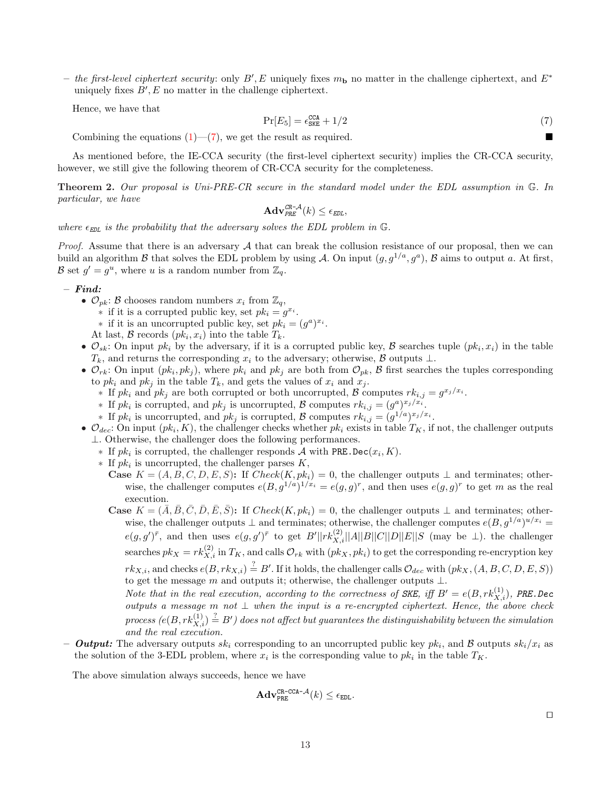– the first-level ciphertext security: only B', E uniquely fixes  $m<sub>b</sub>$  no matter in the challenge ciphertext, and  $E^*$ uniquely fixes  $B', E$  no matter in the challenge ciphertext.

Hence, we have that

$$
\Pr[E_5] = \epsilon_{\text{SKE}}^{\text{CCA}} + 1/2 \tag{7}
$$

Combining the equations  $(1)$ — $(7)$ , we get the result as required.

As mentioned before, the IE-CCA security (the first-level ciphertext security) implies the CR-CCA security, however, we still give the following theorem of CR-CCA security for the completeness.

Theorem 2. Our proposal is Uni-PRE-CR secure in the standard model under the EDL assumption in G. In particular, we have

$$
\mathbf{Adv}_{\mathit{PRE}}^{\mathit{CR-A}}(k) \leq \epsilon_{\mathit{EDL}},
$$

where  $\epsilon_{EDL}$  is the probability that the adversary solves the EDL problem in G.

*Proof.* Assume that there is an adversary  $A$  that can break the collusion resistance of our proposal, then we can build an algorithm B that solves the EDL problem by using A. On input  $(g, g^{1/a}, g^a)$ , B aims to output a. At first, B set  $g' = g^u$ , where u is a random number from  $\mathbb{Z}_q$ .

#### – Find:

- $\mathcal{O}_{pk}$ :  $\beta$  chooses random numbers  $x_i$  from  $\mathbb{Z}_q$ ,
	- ∗ if it is a corrupted public key, set  $pk_i = g^{x_i}$ .
	- \* if it is an uncorrupted public key, set  $pk_i = (g^a)^{x_i}$ .
	- At last, B records  $(pk_i, x_i)$  into the table  $T_k$ .
- $\mathcal{O}_{sk}$ : On input  $pk_i$  by the adversary, if it is a corrupted public key,  $\mathcal{B}$  searches tuple  $(pk_i, x_i)$  in the table  $T_k$ , and returns the corresponding  $x_i$  to the adversary; otherwise, B outputs  $\perp$ .
- $\mathcal{O}_{rk}$ : On input  $(pk_i, pk_j)$ , where  $pk_i$  and  $pk_j$  are both from  $\mathcal{O}_{pk}$ ,  $\mathcal{B}$  first searches the tuples corresponding to  $pk_i$  and  $pk_j$  in the table  $T_k$ , and gets the values of  $x_i$  and  $x_j$ .
	- ∗ If  $pk_i$  and  $pk_j$  are both corrupted or both uncorrupted, B computes  $rk_{i,j} = g^{x_j/x_i}$ .
	- ∗ If  $pk_i$  is corrupted, and  $pk_j$  is uncorrupted, B computes  $rk_{i,j} = (g^a)^{x_j/x_i}$ .
	- ∗ If  $pk_i$  is uncorrupted, and  $pk_j$  is corrupted, B computes  $rk_{i,j} = (g^{1/a})^{x_j/x_i}$ .
- $\mathcal{O}_{dec}$ : On input  $(pk_i, K)$ , the challenger checks whether  $pk_i$  exists in table  $T_K$ , if not, the challenger outputs ⊥. Otherwise, the challenger does the following performances.
	- ∗ If  $pk_i$  is corrupted, the challenger responds  $A$  with PRE.Dec $(x_i, K)$ .
	- $*$  If  $pk_i$  is uncorrupted, the challenger parses  $K$ ,
		- Case  $K = (A, B, C, D, E, S)$ : If  $Check(K, pk) = 0$ , the challenger outputs  $\perp$  and terminates; otherwise, the challenger computes  $e(B, g^{1/a})^{1/x_i} = e(g, g)^r$ , and then uses  $e(g, g)^r$  to get m as the real execution.
		- **Case**  $K = (\bar{A}, \bar{B}, \bar{C}, \bar{D}, \bar{E}, \bar{S})$ : If  $Check(K, \eta k_i) = 0$ , the challenger outputs ⊥ and terminates; otherwise, the challenger outputs  $\perp$  and terminates; otherwise, the challenger computes  $e(B, g^{1/a})^{u/x_i} =$  $e(g, g')^{\bar{r}}$ , and then uses  $e(g, g')^{\bar{r}}$  to get  $B'||rk_{X,i}^{(2)}||A||B||C||D||E||S$  (may be  $\perp$ ). the challenger searches  $pk_X = rk_{X,i}^{(2)}$  in  $T_K$ , and calls  $\mathcal{O}_{rk}$  with  $(pk_X, pk_i)$  to get the corresponding re-encryption key  $rk_{X,i}$ , and checks  $e(B, rk_{X,i}) \stackrel{?}{=} B'$ . If it holds, the challenger calls  $\mathcal{O}_{dec}$  with  $(pk_X, (A, B, C, D, E, S))$ to get the message m and outputs it; otherwise, the challenger outputs  $\bot$ . Note that in the real execution, according to the correctness of SKE, iff  $B' = e(B, rk_{X,i}^{(1)})$ , PRE.Dec outputs a message m not  $\perp$  when the input is a re-encrypted ciphertext. Hence, the above check  $process\ (e(B,rk^{(1)}_{X,i})\stackrel{?}{=}B')$  does not affect but guarantees the distinguishability between the simulation

and the real execution.

**- Output:** The adversary outputs  $sk_i$  corresponding to an uncorrupted public key  $pk_i$ , and  $\mathcal{B}$  outputs  $sk_i/x_i$  as the solution of the 3-EDL problem, where  $x_i$  is the corresponding value to  $pk_i$  in the table  $T_K$ .

The above simulation always succeeds, hence we have

$$
\mathbf{Adv}_{\mathrm{PRE}}^{\mathrm{CR-CCA-}\mathcal{A}}(k) \leq \epsilon_{\mathrm{EDL}}.
$$

 $\Box$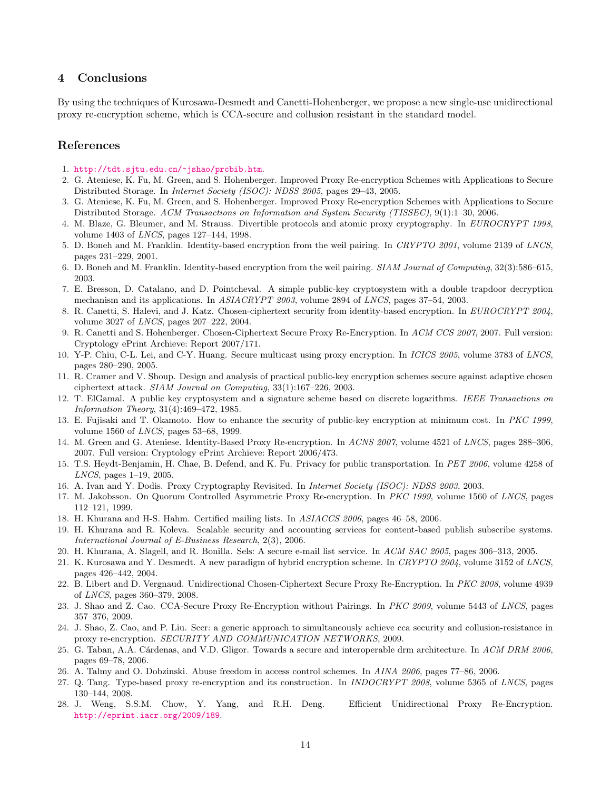## 4 Conclusions

By using the techniques of Kurosawa-Desmedt and Canetti-Hohenberger, we propose a new single-use unidirectional proxy re-encryption scheme, which is CCA-secure and collusion resistant in the standard model.

## References

- 1. http://tdt.sjtu.edu.cn/~jshao/prcbib.htm.
- 2. G. Ateniese, K. Fu, M. Green, and S. Hohenberger. Improved Proxy Re-encryption Schemes with Applications to Secure Distributed Storage. In Internet Society (ISOC): NDSS 2005, pages 29–43, 2005.
- 3. G. Ateniese, K. Fu, M. Green, and S. Hohenberger. Improved Proxy Re-encryption Schemes with Applications to Secure Distributed Storage. ACM Transactions on Information and System Security (TISSEC), 9(1):1–30, 2006.
- 4. M. Blaze, G. Bleumer, and M. Strauss. Divertible protocols and atomic proxy cryptography. In EUROCRYPT 1998, volume 1403 of LNCS, pages 127–144, 1998.
- 5. D. Boneh and M. Franklin. Identity-based encryption from the weil pairing. In CRYPTO 2001, volume 2139 of LNCS, pages 231–229, 2001.
- 6. D. Boneh and M. Franklin. Identity-based encryption from the weil pairing. SIAM Journal of Computing, 32(3):586–615, 2003.
- 7. E. Bresson, D. Catalano, and D. Pointcheval. A simple public-key cryptosystem with a double trapdoor decryption mechanism and its applications. In ASIACRYPT 2003, volume 2894 of LNCS, pages 37–54, 2003.
- 8. R. Canetti, S. Halevi, and J. Katz. Chosen-ciphertext security from identity-based encryption. In EUROCRYPT 2004, volume 3027 of LNCS, pages 207–222, 2004.
- 9. R. Canetti and S. Hohenberger. Chosen-Ciphertext Secure Proxy Re-Encryption. In ACM CCS 2007, 2007. Full version: Cryptology ePrint Archieve: Report 2007/171.
- 10. Y-P. Chiu, C-L. Lei, and C-Y. Huang. Secure multicast using proxy encryption. In ICICS 2005, volume 3783 of LNCS, pages 280–290, 2005.
- 11. R. Cramer and V. Shoup. Design and analysis of practical public-key encryption schemes secure against adaptive chosen ciphertext attack. SIAM Journal on Computing, 33(1):167–226, 2003.
- 12. T. ElGamal. A public key cryptosystem and a signature scheme based on discrete logarithms. IEEE Transactions on Information Theory, 31(4):469–472, 1985.
- 13. E. Fujisaki and T. Okamoto. How to enhance the security of public-key encryption at minimum cost. In PKC 1999, volume 1560 of LNCS, pages 53–68, 1999.
- 14. M. Green and G. Ateniese. Identity-Based Proxy Re-encryption. In ACNS 2007, volume 4521 of LNCS, pages 288–306, 2007. Full version: Cryptology ePrint Archieve: Report 2006/473.
- 15. T.S. Heydt-Benjamin, H. Chae, B. Defend, and K. Fu. Privacy for public transportation. In PET 2006, volume 4258 of LNCS, pages 1–19, 2005.
- 16. A. Ivan and Y. Dodis. Proxy Cryptography Revisited. In Internet Society (ISOC): NDSS 2003, 2003.
- 17. M. Jakobsson. On Quorum Controlled Asymmetric Proxy Re-encryption. In PKC 1999, volume 1560 of LNCS, pages 112–121, 1999.
- 18. H. Khurana and H-S. Hahm. Certified mailing lists. In ASIACCS 2006, pages 46–58, 2006.
- 19. H. Khurana and R. Koleva. Scalable security and accounting services for content-based publish subscribe systems. International Journal of E-Business Research, 2(3), 2006.
- 20. H. Khurana, A. Slagell, and R. Bonilla. Sels: A secure e-mail list service. In ACM SAC 2005, pages 306–313, 2005.
- 21. K. Kurosawa and Y. Desmedt. A new paradigm of hybrid encryption scheme. In CRYPTO 2004, volume 3152 of LNCS, pages 426–442, 2004.
- 22. B. Libert and D. Vergnaud. Unidirectional Chosen-Ciphertext Secure Proxy Re-Encryption. In PKC 2008, volume 4939 of LNCS, pages 360–379, 2008.
- 23. J. Shao and Z. Cao. CCA-Secure Proxy Re-Encryption without Pairings. In PKC 2009, volume 5443 of LNCS, pages 357–376, 2009.
- 24. J. Shao, Z. Cao, and P. Liu. Sccr: a generic approach to simultaneously achieve cca security and collusion-resistance in proxy re-encryption. SECURITY AND COMMUNICATION NETWORKS, 2009.
- 25. G. Taban, A.A. Cárdenas, and V.D. Gligor. Towards a secure and interoperable drm architecture. In ACM DRM 2006, pages 69–78, 2006.
- 26. A. Talmy and O. Dobzinski. Abuse freedom in access control schemes. In AINA 2006, pages 77–86, 2006.
- 27. Q. Tang. Type-based proxy re-encryption and its construction. In INDOCRYPT 2008, volume 5365 of LNCS, pages 130–144, 2008.
- 28. J. Weng, S.S.M. Chow, Y. Yang, and R.H. Deng. Efficient Unidirectional Proxy Re-Encryption. http://eprint.iacr.org/2009/189.